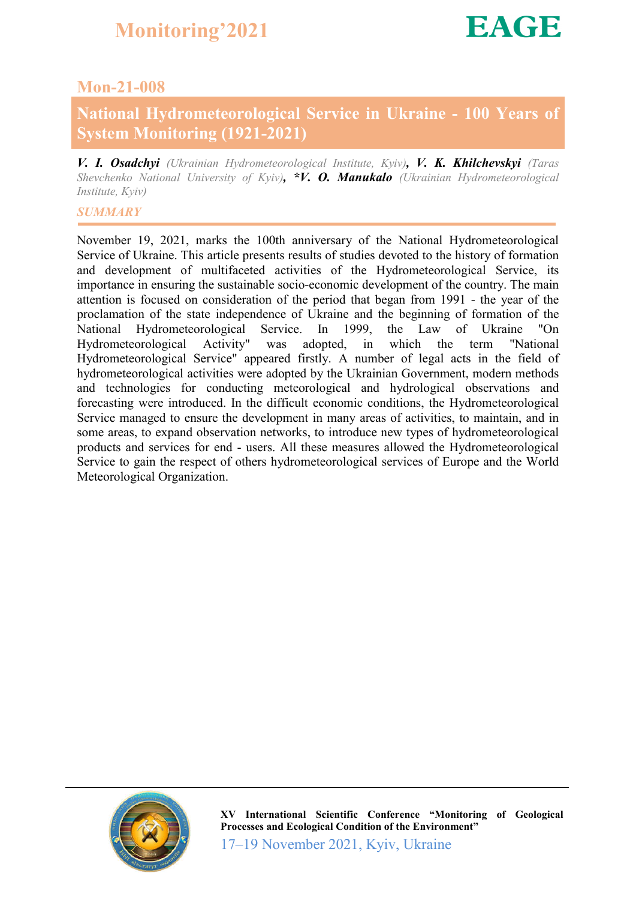### Mon-21-008

### National Hydrometeorological Service in Ukraine - 100 Years of System Monitoring (1921-2021)

*V. I. Osadchyi (Ukrainian Hydrometeorological Institute, Kyiv), V. K. Khilchevskyi (Taras Shevchenko National University of Kyiv), \*V. O. Manukalo (Ukrainian Hydrometeorological Institute, Kyiv)*

### *SUMMARY*

November 19, 2021, marks the 100th anniversary of the National Hydrometeorological Service of Ukraine. This article presents results of studies devoted to the history of formation and development of multifaceted activities of the Hydrometeorological Service, its importance in ensuring the sustainable socio-economic development of the country. The main attention is focused on consideration of the period that began from 1991 - the year of the proclamation of the state independence of Ukraine and the beginning of formation of the National Hydrometeorological Service. In 1999, the Law of Ukraine "On Hydrometeorological Activity" was adopted, in which the term "National Hydrometeorological Service" appeared firstly. A number of legal acts in the field of hydrometeorological activities were adopted by the Ukrainian Government, modern methods and technologies for conducting meteorological and hydrological observations and forecasting were introduced. In the difficult economic conditions, the Hydrometeorological Service managed to ensure the development in many areas of activities, to maintain, and in some areas, to expand observation networks, to introduce new types of hydrometeorological products and services for end - users. All these measures allowed the Hydrometeorological Service to gain the respect of others hydrometeorological services of Europe and the World Meteorological Organization.

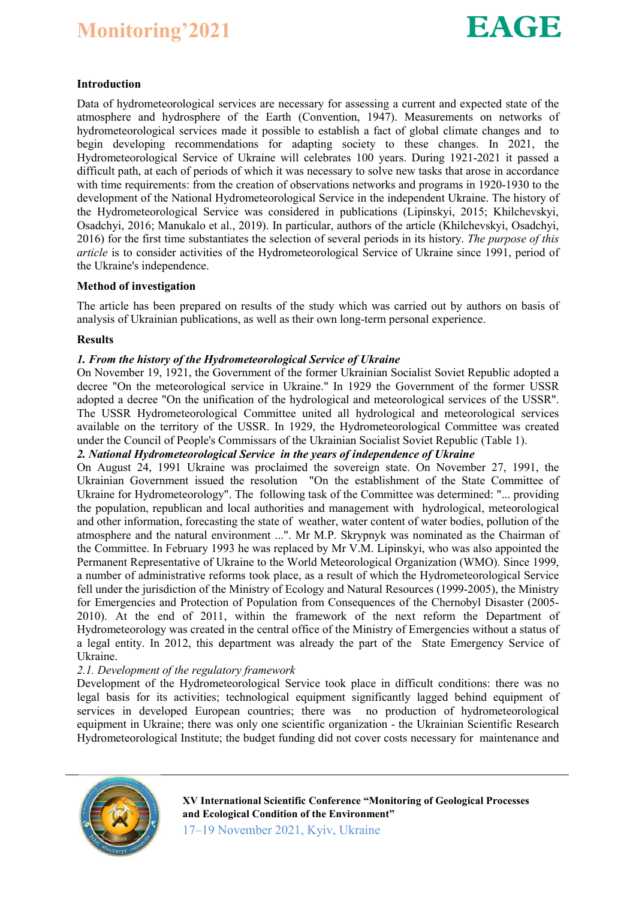## Monitoring'2021



#### Introduction

Data of hydrometeorological services are necessary for assessing a current and expected state of the atmosphere and hydrosphere of the Earth (Convention, 1947). Measurements on networks of hydrometeorological services made it possible to establish a fact of global climate changes and to begin developing recommendations for adapting society to these changes. In 2021, the Hydrometeorological Service of Ukraine will celebrates 100 years. During 1921-2021 it passed a difficult path, at each of periods of which it was necessary to solve new tasks that arose in accordance with time requirements: from the creation of observations networks and programs in 1920-1930 to the development of the National Hydrometeorological Service in the independent Ukraine. The history of the Hydrometeorological Service was considered in publications (Lipinskyi, 2015; Khilchevskyi, Osadchyi, 2016; Manukalo et al., 2019). In particular, authors of the article (Khilchevskyi, Osadchyi, 2016) for the first time substantiates the selection of several periods in its history. *The purpose of this article* is to consider activities of the Hydrometeorological Service of Ukraine since 1991, period of the Ukraine's independence.

#### Method of investigation

The article has been prepared on results of the study which was carried out by authors on basis of analysis of Ukrainian publications, as well as their own long-term personal experience.

#### Results

#### *1. From the history of the Hydrometeorological Service of Ukraine*

On November 19, 1921, the Government of the former Ukrainian Socialist Soviet Republic adopted a decree "On the meteorological service in Ukraine." In 1929 the Government of the former USSR adopted a decree "On the unification of the hydrological and meteorological services of the USSR". The USSR Hydrometeorological Committee united all hydrological and meteorological services available on the territory of the USSR. In 1929, the Hydrometeorological Committee was created under the Council of People's Commissars of the Ukrainian Socialist Soviet Republic (Table 1).

#### *2. National Hydrometeorological Service in the years of independence of Ukraine*

On August 24, 1991 Ukraine was proclaimed the sovereign state. On November 27, 1991, the Ukrainian Government issued the resolution "On the establishment of the State Committee of Ukraine for Hydrometeorology". The following task of the Committee was determined: "... providing the population, republican and local authorities and management with hydrological, meteorological and other information, forecasting the state of weather, water content of water bodies, pollution of the atmosphere and the natural environment ...". Mr M.P. Skrypnyk was nominated as the Chairman of the Committee. In February 1993 he was replaced by Mr V.M. Lipinskyi, who was also appointed the Permanent Representative of Ukraine to the World Meteorological Organization (WMO). Since 1999, a number of administrative reforms took place, as a result of which the Hydrometeorological Service fell under the jurisdiction of the Ministry of Ecology and Natural Resources (1999-2005), the Ministry for Emergencies and Protection of Population from Consequences of the Chernobyl Disaster (2005- 2010). At the end of 2011, within the framework of the next reform the Department of Hydrometeorology was created in the central office of the Ministry of Emergencies without a status of a legal entity. In 2012, this department was already the part of the State Emergency Service of Ukraine.

#### *2.1. Development of the regulatory framework*

Development of the Hydrometeorological Service took place in difficult conditions: there was no legal basis for its activities; technological equipment significantly lagged behind equipment of services in developed European countries; there was no production of hydrometeorological equipment in Ukraine; there was only one scientific organization - the Ukrainian Scientific Research Hydrometeorological Institute; the budget funding did not cover costs necessary for maintenance and



17–19 November 2021, Kyiv, Ukraine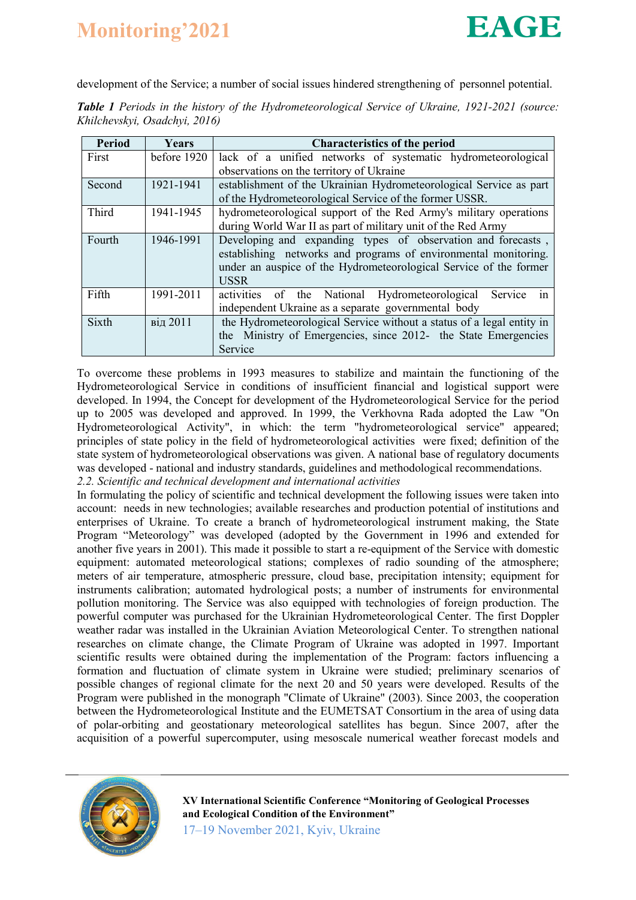# Monitoring'2021



development of the Service; a number of social issues hindered strengthening of personnel potential.

*Table 1 Periods in the history of the Hydrometeorological Service of Ukraine, 1921-2021 (source: Khilchevskyi, Osadchyi, 2016)*

| <b>Period</b> | Years       | <b>Characteristics of the period</b>                                                                                                                                                                                |  |  |
|---------------|-------------|---------------------------------------------------------------------------------------------------------------------------------------------------------------------------------------------------------------------|--|--|
| First         | before 1920 | lack of a unified networks of systematic hydrometeorological                                                                                                                                                        |  |  |
|               |             | observations on the territory of Ukraine                                                                                                                                                                            |  |  |
| Second        | 1921-1941   | establishment of the Ukrainian Hydrometeorological Service as part                                                                                                                                                  |  |  |
|               |             | of the Hydrometeorological Service of the former USSR.                                                                                                                                                              |  |  |
| Third         | 1941-1945   | hydrometeorological support of the Red Army's military operations<br>during World War II as part of military unit of the Red Army                                                                                   |  |  |
|               |             |                                                                                                                                                                                                                     |  |  |
| Fourth        | 1946-1991   | Developing and expanding types of observation and forecasts,<br>establishing networks and programs of environmental monitoring.<br>under an auspice of the Hydrometeorological Service of the former<br><b>USSR</b> |  |  |
| Fifth         | 1991-2011   | activities of the National Hydrometeorological<br>Service<br>1n<br>independent Ukraine as a separate governmental body                                                                                              |  |  |
| Sixth         | від 2011    | the Hydrometeorological Service without a status of a legal entity in<br>the Ministry of Emergencies, since 2012- the State Emergencies<br>Service                                                                  |  |  |

To overcome these problems in 1993 measures to stabilize and maintain the functioning of the Hydrometeorological Service in conditions of insufficient financial and logistical support were developed. In 1994, the Concept for development of the Hydrometeorological Service for the period up to 2005 was developed and approved. In 1999, the Verkhovna Rada adopted the Law "On Hydrometeorological Activity", in which: the term "hydrometeorological service" appeared; principles of state policy in the field of hydrometeorological activities were fixed; definition of the state system of hydrometeorological observations was given. A national base of regulatory documents was developed - national and industry standards, guidelines and methodological recommendations. *2.2. Scientific and technical development and international activities*

In formulating the policy of scientific and technical development the following issues were taken into account: needs in new technologies; available researches and production potential of institutions and enterprises of Ukraine. To create a branch of hydrometeorological instrument making, the State Program "Meteorology" was developed (adopted by the Government in 1996 and extended for another five years in 2001). This made it possible to start a re-equipment of the Service with domestic equipment: automated meteorological stations; complexes of radio sounding of the atmosphere; meters of air temperature, atmospheric pressure, cloud base, precipitation intensity; equipment for instruments calibration; automated hydrological posts; a number of instruments for environmental pollution monitoring. The Service was also equipped with technologies of foreign production. The powerful computer was purchased for the Ukrainian Hydrometeorological Center. The first Doppler weather radar was installed in the Ukrainian Aviation Meteorological Center. To strengthen national researches on climate change, the Climate Program of Ukraine was adopted in 1997. Important scientific results were obtained during the implementation of the Program: factors influencing a formation and fluctuation of climate system in Ukraine were studied; preliminary scenarios of possible changes of regional climate for the next 20 and 50 years were developed. Results of the Program were published in the monograph "Climate of Ukraine" (2003). Since 2003, the cooperation between the Hydrometeorological Institute and the EUMETSAT Consortium in the area of using data of polar-orbiting and geostationary meteorological satellites has begun. Since 2007, after the acquisition of a powerful supercomputer, using mesoscale numerical weather forecast models and



17–19 November 2021, Kyiv, Ukraine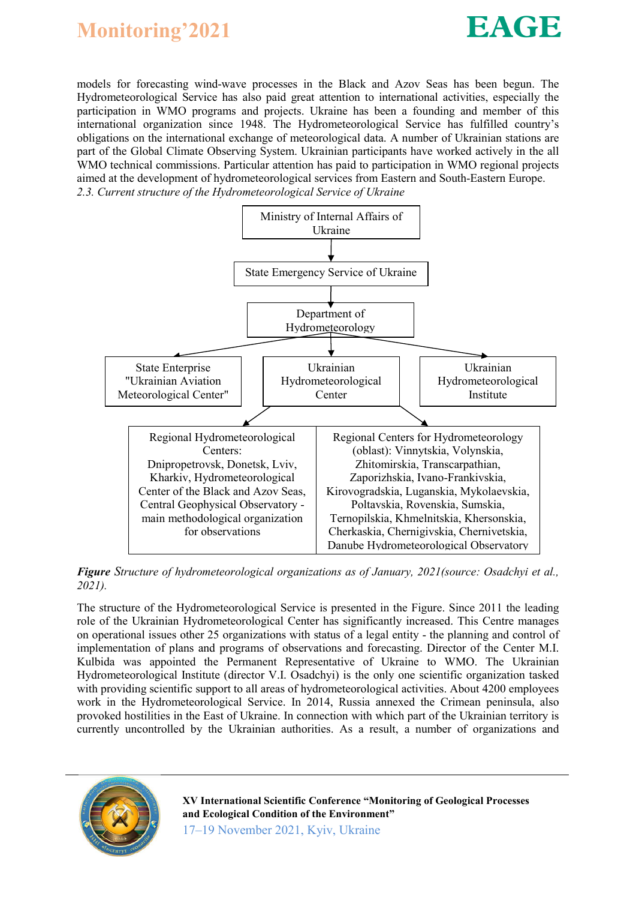



models for forecasting wind-wave processes in the Black and Azov Seas has been begun. The Hydrometeorological Service has also paid great attention to international activities, especially the participation in WMO programs and projects. Ukraine has been a founding and member of this international organization since 1948. The Hydrometeorological Service has fulfilled country's obligations on the international exchange of meteorological data. A number of Ukrainian stations are part of the Global Climate Observing System. Ukrainian participants have worked actively in the all WMO technical commissions. Particular attention has paid to participation in WMO regional projects aimed at the development of hydrometeorological services from Eastern and South-Eastern Europe. *2.3. Current structure of the Hydrometeorological Service of Ukraine* 



*Figure Structure of hydrometeorological organizations as of January, 2021(source: Osadchyi et al., 2021).*

The structure of the Hydrometeorological Service is presented in the Figure. Since 2011 the leading role of the Ukrainian Hydrometeorological Center has significantly increased. This Centre manages on operational issues other 25 organizations with status of a legal entity - the planning and control of implementation of plans and programs of observations and forecasting. Director of the Center M.I. Kulbida was appointed the Permanent Representative of Ukraine to WMO. The Ukrainian Hydrometeorological Institute (director V.I. Osadchyi) is the only one scientific organization tasked with providing scientific support to all areas of hydrometeorological activities. About 4200 employees work in the Hydrometeorological Service. In 2014, Russia annexed the Crimean peninsula, also provoked hostilities in the East of Ukraine. In connection with which part of the Ukrainian territory is currently uncontrolled by the Ukrainian authorities. As a result, a number of organizations and



XV International Scientific Conference "Monitoring of Geological Processes and Ecological Condition of the Environment" 17–19 November 2021, Kyiv, Ukraine